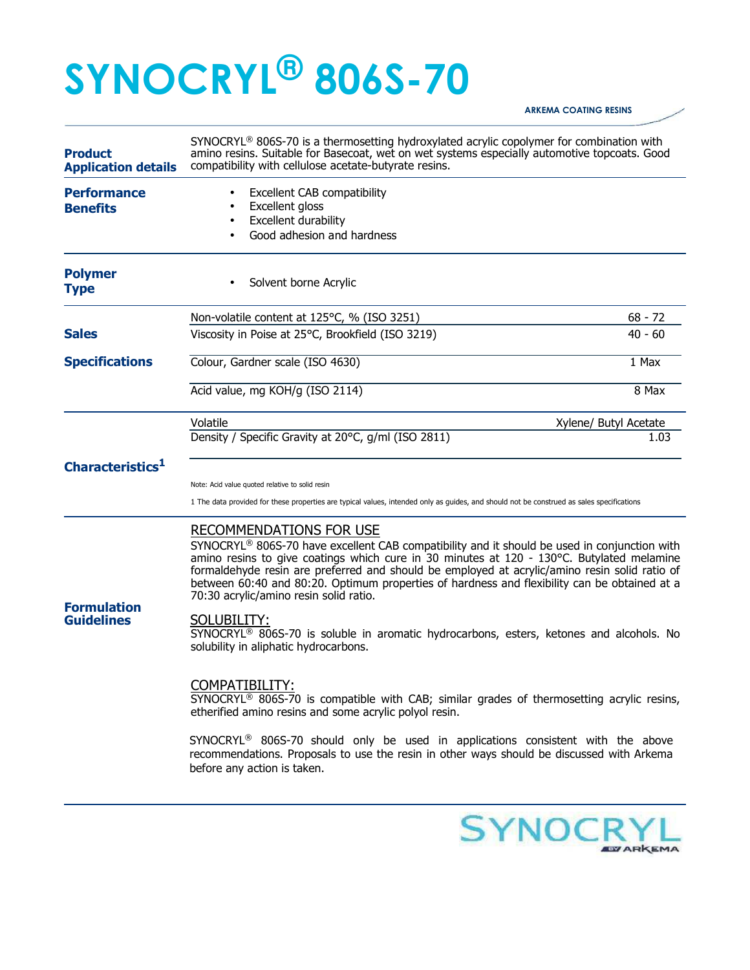## **SYNOCRYL® 806S-70**

## **ARKEMA COATING RESINS**

| <b>Product</b><br><b>Application details</b> | $SYNOCRYL® 806S-70$ is a thermosetting hydroxylated acrylic copolymer for combination with<br>amino resins. Suitable for Basecoat, wet on wet systems especially automotive topcoats. Good<br>compatibility with cellulose acetate-butyrate resins.                                                                                                                                                                                                                                                                                                                                                                            |                       |
|----------------------------------------------|--------------------------------------------------------------------------------------------------------------------------------------------------------------------------------------------------------------------------------------------------------------------------------------------------------------------------------------------------------------------------------------------------------------------------------------------------------------------------------------------------------------------------------------------------------------------------------------------------------------------------------|-----------------------|
| <b>Performance</b><br><b>Benefits</b>        | Excellent CAB compatibility<br>Excellent gloss<br>Excellent durability<br>$\bullet$<br>Good adhesion and hardness<br>$\bullet$                                                                                                                                                                                                                                                                                                                                                                                                                                                                                                 |                       |
| <b>Polymer</b><br><b>Type</b>                | Solvent borne Acrylic                                                                                                                                                                                                                                                                                                                                                                                                                                                                                                                                                                                                          |                       |
|                                              | Non-volatile content at 125°C, % (ISO 3251)                                                                                                                                                                                                                                                                                                                                                                                                                                                                                                                                                                                    | $68 - 72$             |
| <b>Sales</b>                                 | Viscosity in Poise at 25°C, Brookfield (ISO 3219)                                                                                                                                                                                                                                                                                                                                                                                                                                                                                                                                                                              | $40 - 60$             |
| <b>Specifications</b>                        | Colour, Gardner scale (ISO 4630)                                                                                                                                                                                                                                                                                                                                                                                                                                                                                                                                                                                               | 1 Max                 |
|                                              | Acid value, mg KOH/g (ISO 2114)                                                                                                                                                                                                                                                                                                                                                                                                                                                                                                                                                                                                | 8 Max                 |
|                                              | Volatile                                                                                                                                                                                                                                                                                                                                                                                                                                                                                                                                                                                                                       | Xylene/ Butyl Acetate |
| Characteristics <sup>1</sup>                 | Density / Specific Gravity at 20°C, g/ml (ISO 2811)                                                                                                                                                                                                                                                                                                                                                                                                                                                                                                                                                                            | 1.03                  |
|                                              | Note: Acid value quoted relative to solid resin<br>1 The data provided for these properties are typical values, intended only as guides, and should not be construed as sales specifications                                                                                                                                                                                                                                                                                                                                                                                                                                   |                       |
| <b>Formulation</b><br><b>Guidelines</b>      | RECOMMENDATIONS FOR USE<br>SYNOCRYL® 806S-70 have excellent CAB compatibility and it should be used in conjunction with<br>amino resins to give coatings which cure in 30 minutes at 120 - 130°C. Butylated melamine<br>formaldehyde resin are preferred and should be employed at acrylic/amino resin solid ratio of<br>between 60:40 and 80:20. Optimum properties of hardness and flexibility can be obtained at a<br>70:30 acrylic/amino resin solid ratio.<br>SOLUBILITY:<br>SYNOCRYL <sup>®</sup> 806S-70 is soluble in aromatic hydrocarbons, esters, ketones and alcohols. No<br>solubility in aliphatic hydrocarbons. |                       |
|                                              | COMPATIBILITY:<br>SYNOCRYL <sup>®</sup> 806S-70 is compatible with CAB; similar grades of thermosetting acrylic resins,<br>etherified amino resins and some acrylic polyol resin.<br>SYNOCRYL <sup>®</sup> 806S-70 should only be used in applications consistent with the above<br>recommendations. Proposals to use the resin in other ways should be discussed with Arkema<br>before any action is taken.                                                                                                                                                                                                                   |                       |